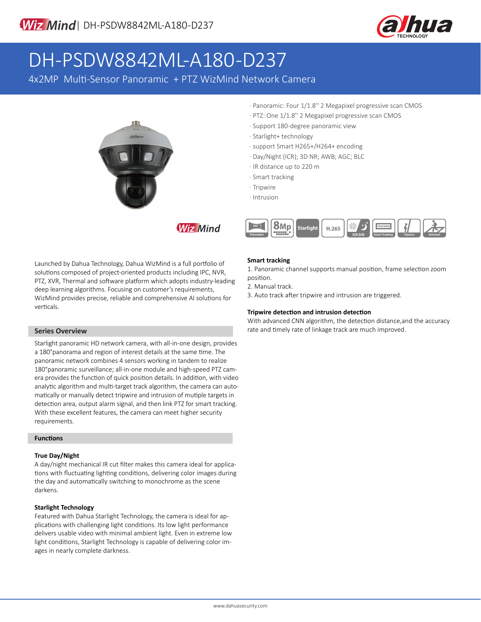

# DH-PSDW8842ML-A180-D237

4x2MP Multi-Sensor Panoramic + PTZ WizMind Network Camera



**Wiz Mind** 

Launched by Dahua Technology, Dahua WizMind is a full portfolio of solutions composed of project-oriented products including IPC, NVR, PTZ, XVR, Thermal and software platform which adopts industry-leading deep learning algorithms. Focusing on customer's requirements, WizMind provides precise, reliable and comprehensive AI solutions for verticals.

## **Series Overview**

Starlight panoramic HD network camera, with all-in-one design, provides a 180°panorama and region of interest details at the same time. The panoramic network combines 4 sensors working in tandem to realize 180°panoramic surveillance; all-in-one module and high-speed PTZ camera provides the function of quick position details. In addition, with video analytic algorithm and multi-target track algorithm, the camera can automatically or manually detect tripwire and intrusion of mutiple targets in detection area, output alarm signal, and then link PTZ for smart tracking. With these excellent features, the camera can meet higher security requirements.

## **Functions**

## **True Day/Night**

A day/night mechanical IR cut filter makes this camera ideal for applications with fluctuating lighting conditions, delivering color images during the day and automatically switching to monochrome as the scene darkens.

## **Starlight Technology**

Featured with Dahua Starlight Technology, the camera is ideal for applications with challenging light conditions. Its low light performance delivers usable video with minimal ambient light. Even in extreme low light conditions, Starlight Technology is capable of delivering color images in nearly complete darkness.

- · Panoramic: Four 1/1.8'' 2 Megapixel progressive scan CMOS
- · PTZ: One 1/1.8'' 2 Megapixel progressive scan CMOS
- · Support 180-degree panoramic view
- · Starlight+ technology
- · support Smart H265+/H264+ encoding
- · Day/Night (ICR); 3D NR; AWB; AGC; BLC
- · IR distance up to 220 m
- · Smart tracking
- · Tripwire
- · Intrusion



## **Smart tracking**

1. Panoramic channel supports manual position, frame selection zoom position.

2. Manual track.

3. Auto track after tripwire and intrusion are triggered.

## **Tripwire detection and intrusion detection**

With advanced CNN algorithm, the detection distance,and the accuracy rate and timely rate of linkage track are much improved.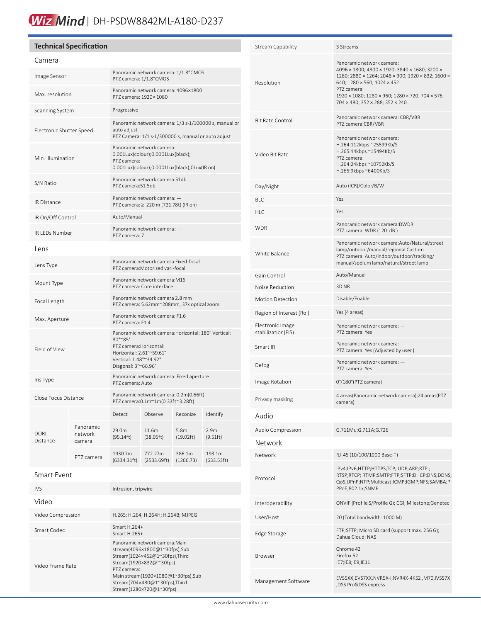## Wiz Mind | DH-PSDW8842ML-A180-D237

#### **Technical Specification** Camera Image Sensor Panoramic network camera: 1/1.8"CMOS<br>
Panoramic network camera: 1/1.8"CMOS PTZ camera: 1/1.8"CMOS Max. resolution Panoramic network camera: 4096×1800<br>
Panoramic network camera: 4000×1080 PTZ camera: 1920× 1080 Scanning System Progressive Electronic Shutter Speed Panoramic network camera: 1/3 s-1/100000 s, manual or auto adjust PTZ Camera: 1/1 s-1/300000 s, manual or auto adjust Min. Illumination Panoramic network camera: 0.001Lux(colour);0.0001Lux(black); PTZ camera: 0.001Lux(colour);0.0001Lux(black);0Lux(IR on) S/N Ratio Panoramic network camera:51db PTZ camera:51.5db IR Distance Panoramic network camera: — PTZ camera: ≥ 220 m (721.78t) (IR on) IR On/Off Control Auto/Manual IR LEDs Number Panoramic network camera: — PTZ camera: 7 Lens Lens Type Panoramic network camera:Fixed-focal<br>
Panoramic network camera:Fixed-focal PTZ camera:Motorized vari-focal Mount Type Panoramic network camera:M16 PTZ camera: Core interface Focal Length Panoramic network camera 2.8 mm<br>PEZ camera: E S2mm 2009mm 27v PTZ camera: 5.62mm~208mm, 37x optical zoom Max. Aperture Panoramic network camera: F1.6 PTZ camera: F1.4 Field of View Panoramic network camera:Horizontal: 180° Vertical: 80°~85° PTZ camera:Horizontal: Horizontal: 2.61°~59.61° Vertical: 1.48°~34.92° Diagonal: 3°~66.96° Iris Type Panoramic network camera: Fixed aperture PTZ camera: Auto Panoramic network camera: 0.2m(0.66ft)<br>Close Focus Distance<br>
Panoramic network camera: 0.2m(0.20ftx2.20ft) PTZ camera:0.1m~1m(0.33ft~3.28ft) DORI Distance Detect Observe Reconize Identify Panoramic network camera 29.0m (95.14ft) 11.6m (38.05ft) 5.8m (19.02ft) 2.9m (9.51ft) PTZ camera 1930.7m (6334.31ft) 772.27m (2533.69ft) 386.1m (1266.73) 193.1m (633.53ft)

## Smart Event

֠

| IVS.              | Intrusion, tripwire                                                                                                                                                                                                                             |
|-------------------|-------------------------------------------------------------------------------------------------------------------------------------------------------------------------------------------------------------------------------------------------|
| Video             |                                                                                                                                                                                                                                                 |
| Video Compression | H.265; H.264; H.264H; H.264B; MJPEG                                                                                                                                                                                                             |
| Smart Codec       | Smart $H.264+$<br>Smart H.265+                                                                                                                                                                                                                  |
| Video Frame Rate  | Panoramic network camera: Main<br>stream(4096×1800@1~30fps),Sub<br>Stream(1024×452@1~30fps),Third<br>Stream(1920×832@`~30fps)<br>PT7 camera:<br>Main stream(1920×1080@1~30fps),Sub<br>Stream(704×480@1~30fps),Third<br>Stream(1280×720@1~30fps) |

| Stream Capability                       | 3 Streams                                                                                                                                                                                                                                                                                           |
|-----------------------------------------|-----------------------------------------------------------------------------------------------------------------------------------------------------------------------------------------------------------------------------------------------------------------------------------------------------|
| Resolution                              | Panoramic network camera:<br>4096 × 1800; 4800 × 1920; 3840 × 1680; 3200 ×<br>1280; 2880 × 1264; 2048 × 900; 1920 × 832; 1600 ×<br>640; 1280 × 560; 1024 × 452<br>PTZ camera:<br>$1920 \times 1080$ ; $1280 \times 960$ ; $1280 \times 720$ ; $704 \times 576$ ;<br>704 × 480; 352 × 288; 352 × 240 |
| <b>Bit Rate Control</b>                 | Panoramic network camera: CBR/VBR<br>PTZ camera:CBR/VBR                                                                                                                                                                                                                                             |
| Video Bit Rate                          | Panoramic network camera:<br>H.264:112kbps ~25599Kb/S<br>H.265:44kbps ~15494Kb/S<br>PTZ camera:<br>H.264:24kbps ~10752Kb/S<br>H.265:9kbps ~6400Kb/S                                                                                                                                                 |
| Day/Night                               | Auto (ICR)/Color/B/W                                                                                                                                                                                                                                                                                |
| BI C                                    | Yes                                                                                                                                                                                                                                                                                                 |
| HLC                                     | Yes                                                                                                                                                                                                                                                                                                 |
| <b>WDR</b>                              | Panoramic network camera:DWDR<br>PTZ camera: WDR (120 dB)                                                                                                                                                                                                                                           |
| White Balance                           | Panoramic network camera: Auto/Natural/street<br>lamp/outdoor/manual/regional Custom<br>PTZ camera: Auto/indoor/outdoor/tracking/<br>manual/sodium lamp/natural/street lamp                                                                                                                         |
| Gain Control                            | Auto/Manual                                                                                                                                                                                                                                                                                         |
| Noise Reduction                         | 3D <sub>NR</sub>                                                                                                                                                                                                                                                                                    |
| <b>Motion Detection</b>                 | Disable/Enable                                                                                                                                                                                                                                                                                      |
| Region of Interest (RoI)                | Yes (4 areas)                                                                                                                                                                                                                                                                                       |
| Electronic Image<br>stabilization (EIS) | Panoramic network camera: -<br>PTZ camera: Yes                                                                                                                                                                                                                                                      |
| Smart IR                                | Panoramic network camera: —<br>PTZ camera: Yes (Adjusted by user.)                                                                                                                                                                                                                                  |
| Defog                                   | Panoramic network camera: -<br>PT7 camera: Yes                                                                                                                                                                                                                                                      |
| Image Rotation                          | 0°/180°(PTZ camera)                                                                                                                                                                                                                                                                                 |
| Privacy masking                         | 4 areas(Panoramic network camera);24 areas(PTZ<br>camera)                                                                                                                                                                                                                                           |
| Audio                                   |                                                                                                                                                                                                                                                                                                     |
| Audio Compression                       | G.711Mu;G.711A;G.726                                                                                                                                                                                                                                                                                |
| Network                                 |                                                                                                                                                                                                                                                                                                     |
| Network                                 | RJ-45 (10/100/1000 Base-T)                                                                                                                                                                                                                                                                          |
| Protocol                                | IPv4;IPv6;HTTP;HTTPS;TCP; UDP;ARP;RTP;<br>RTSP;RTCP; RTMP;SMTP;FTP;SFTP;DHCP;DNS;DDNS;<br>QoS;UPnP;NTP;Multicast;ICMP;IGMP;NFS;SAMBA;P<br>PPoE;802.1x;SNMP                                                                                                                                          |
| Interoperability                        | ONVIF (Profile S/Profile G); CGI; Milestone; Genetec                                                                                                                                                                                                                                                |
| User/Host                               | 20 (Total bandwidth: 1000 M)                                                                                                                                                                                                                                                                        |
| Edge Storage                            | FTP;SFTP; Micro SD card (support max. 256 G);<br>Dahua Cloud; NAS                                                                                                                                                                                                                                   |
| Browser                                 | Chrome 42<br>Firefox 52<br>IE7;IE8;IE9;IE11                                                                                                                                                                                                                                                         |
| Management Software                     | EVS5XX,EVS7XX,NVR5X-I,NVR4X-4KS2 ,M70,IVSS7X<br>,DSS Pro&DSS express                                                                                                                                                                                                                                |